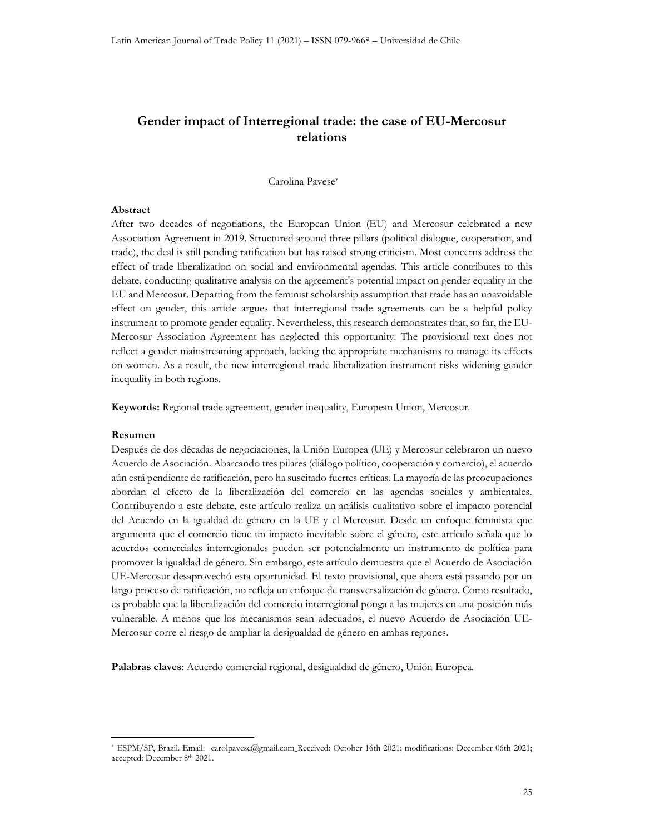# Gender impact of Interregional trade: the case of EU-Mercosur relations

Carolina Pavese\*

### Abstract

After two decades of negotiations, the European Union (EU) and Mercosur celebrated a new Association Agreement in 2019. Structured around three pillars (political dialogue, cooperation, and trade), the deal is still pending ratification but has raised strong criticism. Most concerns address the effect of trade liberalization on social and environmental agendas. This article contributes to this debate, conducting qualitative analysis on the agreement's potential impact on gender equality in the EU and Mercosur. Departing from the feminist scholarship assumption that trade has an unavoidable effect on gender, this article argues that interregional trade agreements can be a helpful policy instrument to promote gender equality. Nevertheless, this research demonstrates that, so far, the EU-Mercosur Association Agreement has neglected this opportunity. The provisional text does not reflect a gender mainstreaming approach, lacking the appropriate mechanisms to manage its effects on women. As a result, the new interregional trade liberalization instrument risks widening gender inequality in both regions.

Keywords: Regional trade agreement, gender inequality, European Union, Mercosur.

# Resumen

Después de dos décadas de negociaciones, la Unión Europea (UE) y Mercosur celebraron un nuevo Acuerdo de Asociación. Abarcando tres pilares (diálogo político, cooperación y comercio), el acuerdo aún está pendiente de ratificación, pero ha suscitado fuertes críticas. La mayoría de las preocupaciones abordan el efecto de la liberalización del comercio en las agendas sociales y ambientales. Contribuyendo a este debate, este artículo realiza un análisis cualitativo sobre el impacto potencial del Acuerdo en la igualdad de género en la UE y el Mercosur. Desde un enfoque feminista que argumenta que el comercio tiene un impacto inevitable sobre el género, este artículo señala que lo acuerdos comerciales interregionales pueden ser potencialmente un instrumento de política para promover la igualdad de género. Sin embargo, este artículo demuestra que el Acuerdo de Asociación UE-Mercosur desaprovechó esta oportunidad. El texto provisional, que ahora está pasando por un largo proceso de ratificación, no refleja un enfoque de transversalización de género. Como resultado, es probable que la liberalización del comercio interregional ponga a las mujeres en una posición más vulnerable. A menos que los mecanismos sean adecuados, el nuevo Acuerdo de Asociación UE-Mercosur corre el riesgo de ampliar la desigualdad de género en ambas regiones.

Palabras claves: Acuerdo comercial regional, desigualdad de género, Unión Europea.

<sup>\*</sup> ESPM/SP, Brazil. Email: carolpavese@gmail.com Received: October 16th 2021; modifications: December 06th 2021; accepted: December 8th 2021.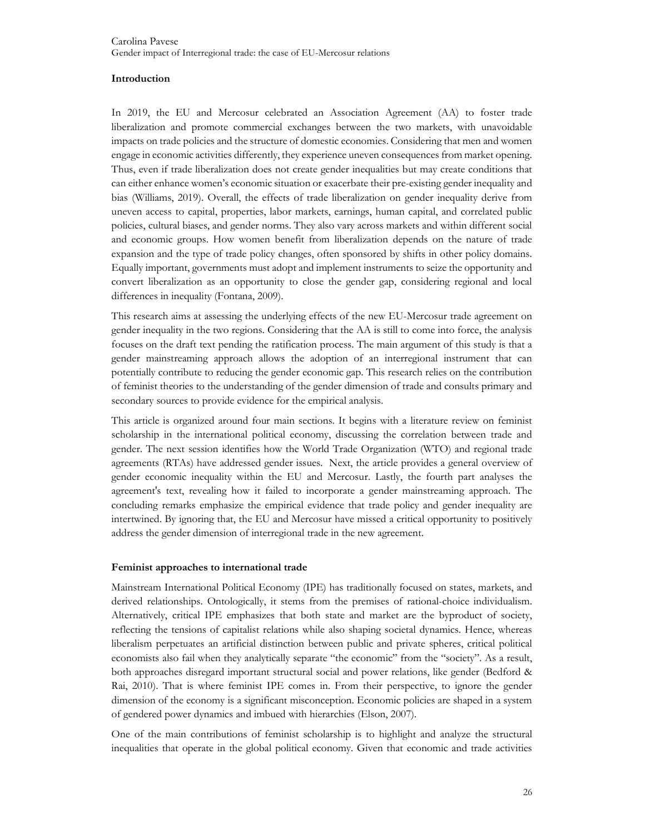# Introduction

In 2019, the EU and Mercosur celebrated an Association Agreement (AA) to foster trade liberalization and promote commercial exchanges between the two markets, with unavoidable impacts on trade policies and the structure of domestic economies. Considering that men and women engage in economic activities differently, they experience uneven consequences from market opening. Thus, even if trade liberalization does not create gender inequalities but may create conditions that can either enhance women's economic situation or exacerbate their pre-existing gender inequality and bias (Williams, 2019). Overall, the effects of trade liberalization on gender inequality derive from uneven access to capital, properties, labor markets, earnings, human capital, and correlated public policies, cultural biases, and gender norms. They also vary across markets and within different social and economic groups. How women benefit from liberalization depends on the nature of trade expansion and the type of trade policy changes, often sponsored by shifts in other policy domains. Equally important, governments must adopt and implement instruments to seize the opportunity and convert liberalization as an opportunity to close the gender gap, considering regional and local differences in inequality (Fontana, 2009).

This research aims at assessing the underlying effects of the new EU-Mercosur trade agreement on gender inequality in the two regions. Considering that the AA is still to come into force, the analysis focuses on the draft text pending the ratification process. The main argument of this study is that a gender mainstreaming approach allows the adoption of an interregional instrument that can potentially contribute to reducing the gender economic gap. This research relies on the contribution of feminist theories to the understanding of the gender dimension of trade and consults primary and secondary sources to provide evidence for the empirical analysis.

This article is organized around four main sections. It begins with a literature review on feminist scholarship in the international political economy, discussing the correlation between trade and gender. The next session identifies how the World Trade Organization (WTO) and regional trade agreements (RTAs) have addressed gender issues. Next, the article provides a general overview of gender economic inequality within the EU and Mercosur. Lastly, the fourth part analyses the agreement's text, revealing how it failed to incorporate a gender mainstreaming approach. The concluding remarks emphasize the empirical evidence that trade policy and gender inequality are intertwined. By ignoring that, the EU and Mercosur have missed a critical opportunity to positively address the gender dimension of interregional trade in the new agreement.

# Feminist approaches to international trade

Mainstream International Political Economy (IPE) has traditionally focused on states, markets, and derived relationships. Ontologically, it stems from the premises of rational-choice individualism. Alternatively, critical IPE emphasizes that both state and market are the byproduct of society, reflecting the tensions of capitalist relations while also shaping societal dynamics. Hence, whereas liberalism perpetuates an artificial distinction between public and private spheres, critical political economists also fail when they analytically separate "the economic" from the "society". As a result, both approaches disregard important structural social and power relations, like gender (Bedford & Rai, 2010). That is where feminist IPE comes in. From their perspective, to ignore the gender dimension of the economy is a significant misconception. Economic policies are shaped in a system of gendered power dynamics and imbued with hierarchies (Elson, 2007).

One of the main contributions of feminist scholarship is to highlight and analyze the structural inequalities that operate in the global political economy. Given that economic and trade activities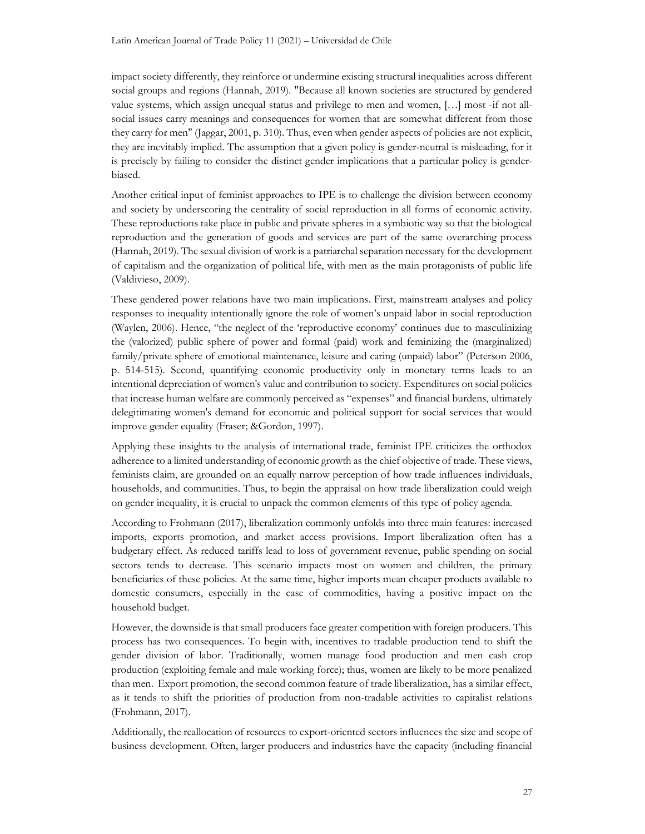impact society differently, they reinforce or undermine existing structural inequalities across different social groups and regions (Hannah, 2019). "Because all known societies are structured by gendered value systems, which assign unequal status and privilege to men and women, […] most -if not allsocial issues carry meanings and consequences for women that are somewhat different from those they carry for men" (Jaggar, 2001, p. 310). Thus, even when gender aspects of policies are not explicit, they are inevitably implied. The assumption that a given policy is gender-neutral is misleading, for it is precisely by failing to consider the distinct gender implications that a particular policy is genderbiased.

Another critical input of feminist approaches to IPE is to challenge the division between economy and society by underscoring the centrality of social reproduction in all forms of economic activity. These reproductions take place in public and private spheres in a symbiotic way so that the biological reproduction and the generation of goods and services are part of the same overarching process (Hannah, 2019). The sexual division of work is a patriarchal separation necessary for the development of capitalism and the organization of political life, with men as the main protagonists of public life (Valdivieso, 2009).

These gendered power relations have two main implications. First, mainstream analyses and policy responses to inequality intentionally ignore the role of women's unpaid labor in social reproduction (Waylen, 2006). Hence, "the neglect of the 'reproductive economy' continues due to masculinizing the (valorized) public sphere of power and formal (paid) work and feminizing the (marginalized) family/private sphere of emotional maintenance, leisure and caring (unpaid) labor" (Peterson 2006, p. 514-515). Second, quantifying economic productivity only in monetary terms leads to an intentional depreciation of women's value and contribution to society. Expenditures on social policies that increase human welfare are commonly perceived as "expenses" and financial burdens, ultimately delegitimating women's demand for economic and political support for social services that would improve gender equality (Fraser; &Gordon, 1997).

Applying these insights to the analysis of international trade, feminist IPE criticizes the orthodox adherence to a limited understanding of economic growth as the chief objective of trade. These views, feminists claim, are grounded on an equally narrow perception of how trade influences individuals, households, and communities. Thus, to begin the appraisal on how trade liberalization could weigh on gender inequality, it is crucial to unpack the common elements of this type of policy agenda.

According to Frohmann (2017), liberalization commonly unfolds into three main features: increased imports, exports promotion, and market access provisions. Import liberalization often has a budgetary effect. As reduced tariffs lead to loss of government revenue, public spending on social sectors tends to decrease. This scenario impacts most on women and children, the primary beneficiaries of these policies. At the same time, higher imports mean cheaper products available to domestic consumers, especially in the case of commodities, having a positive impact on the household budget.

However, the downside is that small producers face greater competition with foreign producers. This process has two consequences. To begin with, incentives to tradable production tend to shift the gender division of labor. Traditionally, women manage food production and men cash crop production (exploiting female and male working force); thus, women are likely to be more penalized than men. Export promotion, the second common feature of trade liberalization, has a similar effect, as it tends to shift the priorities of production from non-tradable activities to capitalist relations (Frohmann, 2017).

Additionally, the reallocation of resources to export-oriented sectors influences the size and scope of business development. Often, larger producers and industries have the capacity (including financial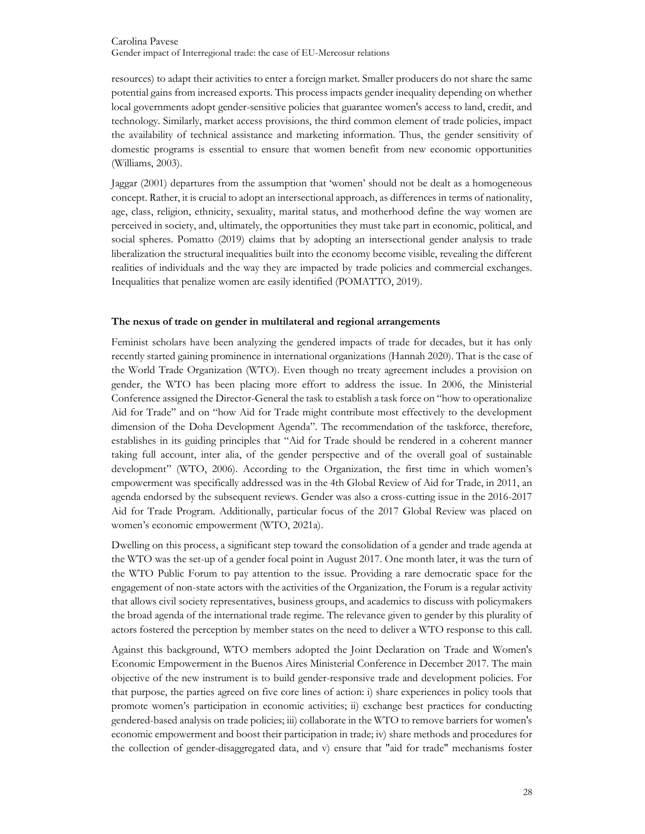resources) to adapt their activities to enter a foreign market. Smaller producers do not share the same potential gains from increased exports. This process impacts gender inequality depending on whether local governments adopt gender-sensitive policies that guarantee women's access to land, credit, and technology. Similarly, market access provisions, the third common element of trade policies, impact the availability of technical assistance and marketing information. Thus, the gender sensitivity of domestic programs is essential to ensure that women benefit from new economic opportunities (Williams, 2003).

Jaggar (2001) departures from the assumption that 'women' should not be dealt as a homogeneous concept. Rather, it is crucial to adopt an intersectional approach, as differences in terms of nationality, age, class, religion, ethnicity, sexuality, marital status, and motherhood define the way women are perceived in society, and, ultimately, the opportunities they must take part in economic, political, and social spheres. Pomatto (2019) claims that by adopting an intersectional gender analysis to trade liberalization the structural inequalities built into the economy become visible, revealing the different realities of individuals and the way they are impacted by trade policies and commercial exchanges. Inequalities that penalize women are easily identified (POMATTO, 2019).

# The nexus of trade on gender in multilateral and regional arrangements

Feminist scholars have been analyzing the gendered impacts of trade for decades, but it has only recently started gaining prominence in international organizations (Hannah 2020). That is the case of the World Trade Organization (WTO). Even though no treaty agreement includes a provision on gender, the WTO has been placing more effort to address the issue. In 2006, the Ministerial Conference assigned the Director-General the task to establish a task force on "how to operationalize Aid for Trade" and on "how Aid for Trade might contribute most effectively to the development dimension of the Doha Development Agenda". The recommendation of the taskforce, therefore, establishes in its guiding principles that "Aid for Trade should be rendered in a coherent manner taking full account, inter alia, of the gender perspective and of the overall goal of sustainable development" (WTO, 2006). According to the Organization, the first time in which women's empowerment was specifically addressed was in the 4th Global Review of Aid for Trade, in 2011, an agenda endorsed by the subsequent reviews. Gender was also a cross-cutting issue in the 2016-2017 Aid for Trade Program. Additionally, particular focus of the 2017 Global Review was placed on women's economic empowerment (WTO, 2021a).

Dwelling on this process, a significant step toward the consolidation of a gender and trade agenda at the WTO was the set-up of a gender focal point in August 2017. One month later, it was the turn of the WTO Public Forum to pay attention to the issue. Providing a rare democratic space for the engagement of non-state actors with the activities of the Organization, the Forum is a regular activity that allows civil society representatives, business groups, and academics to discuss with policymakers the broad agenda of the international trade regime. The relevance given to gender by this plurality of actors fostered the perception by member states on the need to deliver a WTO response to this call.

Against this background, WTO members adopted the Joint Declaration on Trade and Women's Economic Empowerment in the Buenos Aires Ministerial Conference in December 2017. The main objective of the new instrument is to build gender-responsive trade and development policies. For that purpose, the parties agreed on five core lines of action: i) share experiences in policy tools that promote women's participation in economic activities; ii) exchange best practices for conducting gendered-based analysis on trade policies; iii) collaborate in the WTO to remove barriers for women's economic empowerment and boost their participation in trade; iv) share methods and procedures for the collection of gender-disaggregated data, and v) ensure that "aid for trade" mechanisms foster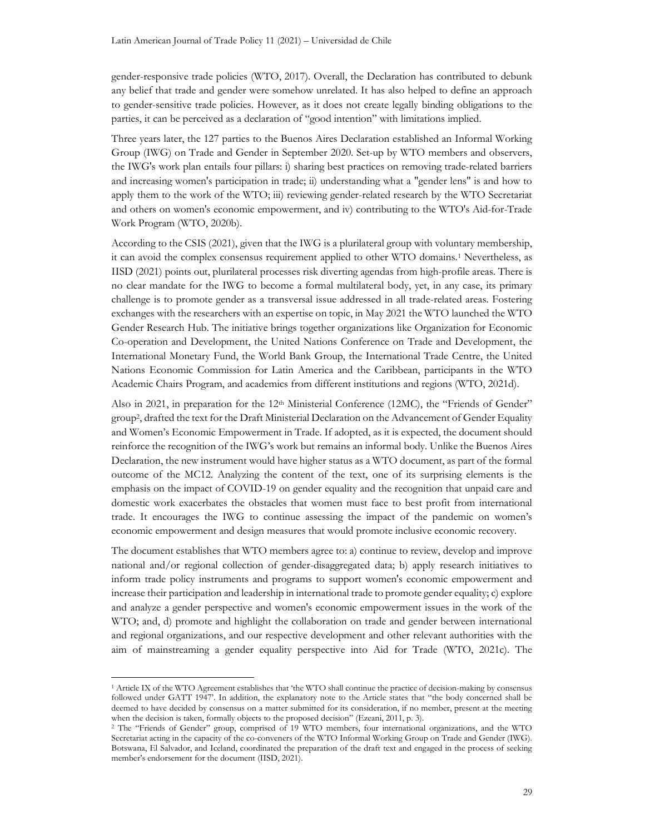gender-responsive trade policies (WTO, 2017). Overall, the Declaration has contributed to debunk any belief that trade and gender were somehow unrelated. It has also helped to define an approach to gender-sensitive trade policies. However, as it does not create legally binding obligations to the parties, it can be perceived as a declaration of "good intention" with limitations implied.

Three years later, the 127 parties to the Buenos Aires Declaration established an Informal Working Group (IWG) on Trade and Gender in September 2020. Set-up by WTO members and observers, the IWG's work plan entails four pillars: i) sharing best practices on removing trade-related barriers and increasing women's participation in trade; ii) understanding what a "gender lens" is and how to apply them to the work of the WTO; iii) reviewing gender-related research by the WTO Secretariat and others on women's economic empowerment, and iv) contributing to the WTO's Aid-for-Trade Work Program (WTO, 2020b).

According to the CSIS (2021), given that the IWG is a plurilateral group with voluntary membership, it can avoid the complex consensus requirement applied to other WTO domains.1 Nevertheless, as IISD (2021) points out, plurilateral processes risk diverting agendas from high-profile areas. There is no clear mandate for the IWG to become a formal multilateral body, yet, in any case, its primary challenge is to promote gender as a transversal issue addressed in all trade-related areas. Fostering exchanges with the researchers with an expertise on topic, in May 2021 the WTO launched the WTO Gender Research Hub. The initiative brings together organizations like Organization for Economic Co-operation and Development, the United Nations Conference on Trade and Development, the International Monetary Fund, the World Bank Group, the International Trade Centre, the United Nations Economic Commission for Latin America and the Caribbean, participants in the WTO Academic Chairs Program, and academics from different institutions and regions (WTO, 2021d).

Also in 2021, in preparation for the 12<sup>th</sup> Ministerial Conference (12MC), the "Friends of Gender" group<sup>2</sup> , drafted the text for the Draft Ministerial Declaration on the Advancement of Gender Equality and Women's Economic Empowerment in Trade. If adopted, as it is expected, the document should reinforce the recognition of the IWG's work but remains an informal body. Unlike the Buenos Aires Declaration, the new instrument would have higher status as a WTO document, as part of the formal outcome of the MC12. Analyzing the content of the text, one of its surprising elements is the emphasis on the impact of COVID-19 on gender equality and the recognition that unpaid care and domestic work exacerbates the obstacles that women must face to best profit from international trade. It encourages the IWG to continue assessing the impact of the pandemic on women's economic empowerment and design measures that would promote inclusive economic recovery.

The document establishes that WTO members agree to: a) continue to review, develop and improve national and/or regional collection of gender-disaggregated data; b) apply research initiatives to inform trade policy instruments and programs to support women's economic empowerment and increase their participation and leadership in international trade to promote gender equality; c) explore and analyze a gender perspective and women's economic empowerment issues in the work of the WTO; and, d) promote and highlight the collaboration on trade and gender between international and regional organizations, and our respective development and other relevant authorities with the aim of mainstreaming a gender equality perspective into Aid for Trade (WTO, 2021c). The

<sup>1</sup> Article IX of the WTO Agreement establishes that 'the WTO shall continue the practice of decision-making by consensus followed under GATT 1947'. In addition, the explanatory note to the Article states that "the body concerned shall be deemed to have decided by consensus on a matter submitted for its consideration, if no member, present at the meeting when the decision is taken, formally objects to the proposed decision" (Ezeani, 2011, p. 3).

<sup>2</sup> The "Friends of Gender" group, comprised of 19 WTO members, four international organizations, and the WTO Secretariat acting in the capacity of the co-conveners of the WTO Informal Working Group on Trade and Gender (IWG). Botswana, El Salvador, and Iceland, coordinated the preparation of the draft text and engaged in the process of seeking member's endorsement for the document (IISD, 2021).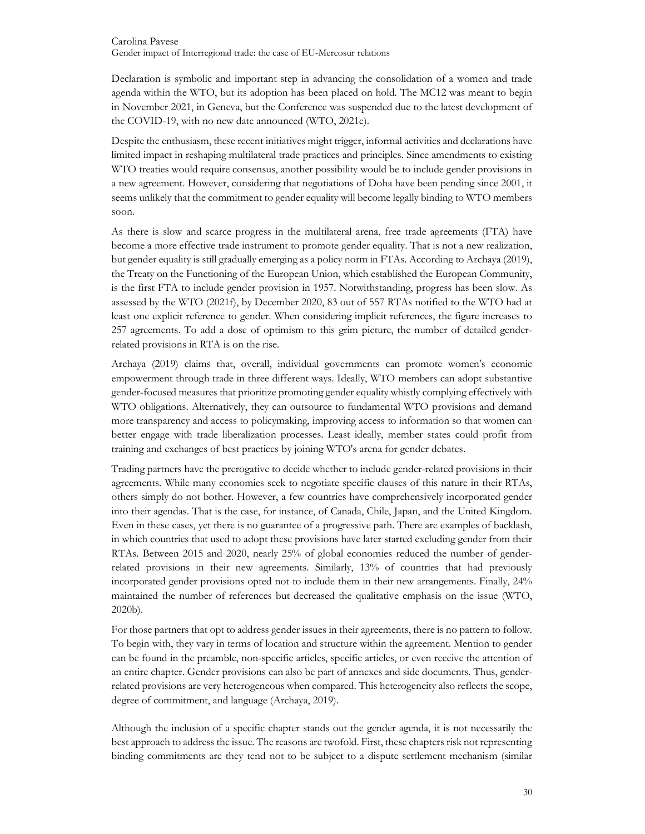Declaration is symbolic and important step in advancing the consolidation of a women and trade agenda within the WTO, but its adoption has been placed on hold. The MC12 was meant to begin in November 2021, in Geneva, but the Conference was suspended due to the latest development of the COVID-19, with no new date announced (WTO, 2021e).

Despite the enthusiasm, these recent initiatives might trigger, informal activities and declarations have limited impact in reshaping multilateral trade practices and principles. Since amendments to existing WTO treaties would require consensus, another possibility would be to include gender provisions in a new agreement. However, considering that negotiations of Doha have been pending since 2001, it seems unlikely that the commitment to gender equality will become legally binding to WTO members soon.

As there is slow and scarce progress in the multilateral arena, free trade agreements (FTA) have become a more effective trade instrument to promote gender equality. That is not a new realization, but gender equality is still gradually emerging as a policy norm in FTAs. According to Archaya (2019), the Treaty on the Functioning of the European Union, which established the European Community, is the first FTA to include gender provision in 1957. Notwithstanding, progress has been slow. As assessed by the WTO (2021f), by December 2020, 83 out of 557 RTAs notified to the WTO had at least one explicit reference to gender. When considering implicit references, the figure increases to 257 agreements. To add a dose of optimism to this grim picture, the number of detailed genderrelated provisions in RTA is on the rise.

Archaya (2019) claims that, overall, individual governments can promote women's economic empowerment through trade in three different ways. Ideally, WTO members can adopt substantive gender-focused measures that prioritize promoting gender equality whistly complying effectively with WTO obligations. Alternatively, they can outsource to fundamental WTO provisions and demand more transparency and access to policymaking, improving access to information so that women can better engage with trade liberalization processes. Least ideally, member states could profit from training and exchanges of best practices by joining WTO's arena for gender debates.

Trading partners have the prerogative to decide whether to include gender-related provisions in their agreements. While many economies seek to negotiate specific clauses of this nature in their RTAs, others simply do not bother. However, a few countries have comprehensively incorporated gender into their agendas. That is the case, for instance, of Canada, Chile, Japan, and the United Kingdom. Even in these cases, yet there is no guarantee of a progressive path. There are examples of backlash, in which countries that used to adopt these provisions have later started excluding gender from their RTAs. Between 2015 and 2020, nearly 25% of global economies reduced the number of genderrelated provisions in their new agreements. Similarly, 13% of countries that had previously incorporated gender provisions opted not to include them in their new arrangements. Finally, 24% maintained the number of references but decreased the qualitative emphasis on the issue (WTO, 2020b).

For those partners that opt to address gender issues in their agreements, there is no pattern to follow. To begin with, they vary in terms of location and structure within the agreement. Mention to gender can be found in the preamble, non-specific articles, specific articles, or even receive the attention of an entire chapter. Gender provisions can also be part of annexes and side documents. Thus, genderrelated provisions are very heterogeneous when compared. This heterogeneity also reflects the scope, degree of commitment, and language (Archaya, 2019).

Although the inclusion of a specific chapter stands out the gender agenda, it is not necessarily the best approach to address the issue. The reasons are twofold. First, these chapters risk not representing binding commitments are they tend not to be subject to a dispute settlement mechanism (similar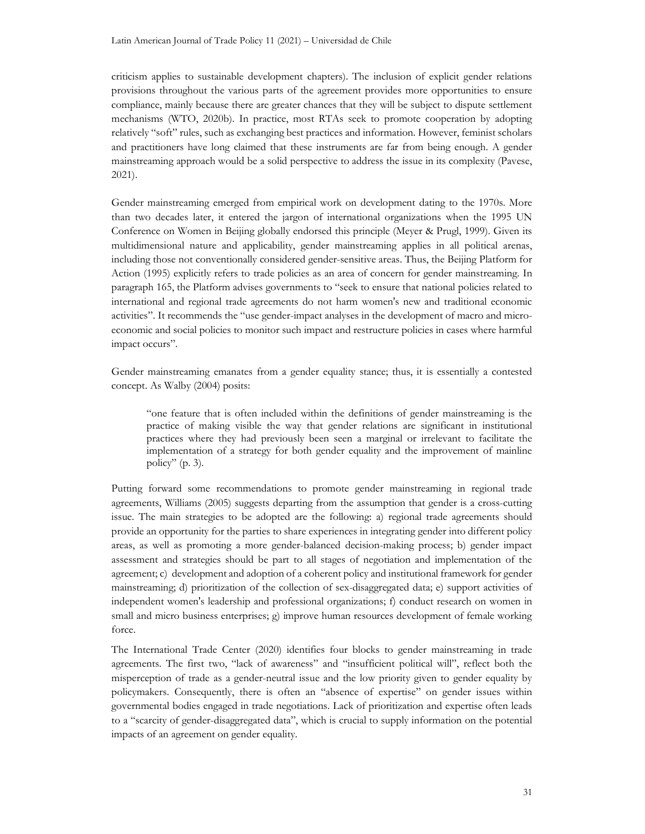criticism applies to sustainable development chapters). The inclusion of explicit gender relations provisions throughout the various parts of the agreement provides more opportunities to ensure compliance, mainly because there are greater chances that they will be subject to dispute settlement mechanisms (WTO, 2020b). In practice, most RTAs seek to promote cooperation by adopting relatively "soft" rules, such as exchanging best practices and information. However, feminist scholars and practitioners have long claimed that these instruments are far from being enough. A gender mainstreaming approach would be a solid perspective to address the issue in its complexity (Pavese, 2021).

Gender mainstreaming emerged from empirical work on development dating to the 1970s. More than two decades later, it entered the jargon of international organizations when the 1995 UN Conference on Women in Beijing globally endorsed this principle (Meyer & Prugl, 1999). Given its multidimensional nature and applicability, gender mainstreaming applies in all political arenas, including those not conventionally considered gender-sensitive areas. Thus, the Beijing Platform for Action (1995) explicitly refers to trade policies as an area of concern for gender mainstreaming. In paragraph 165, the Platform advises governments to "seek to ensure that national policies related to international and regional trade agreements do not harm women's new and traditional economic activities". It recommends the "use gender-impact analyses in the development of macro and microeconomic and social policies to monitor such impact and restructure policies in cases where harmful impact occurs".

Gender mainstreaming emanates from a gender equality stance; thus, it is essentially a contested concept. As Walby (2004) posits:

"one feature that is often included within the definitions of gender mainstreaming is the practice of making visible the way that gender relations are significant in institutional practices where they had previously been seen a marginal or irrelevant to facilitate the implementation of a strategy for both gender equality and the improvement of mainline policy" (p. 3).

Putting forward some recommendations to promote gender mainstreaming in regional trade agreements, Williams (2005) suggests departing from the assumption that gender is a cross-cutting issue. The main strategies to be adopted are the following: a) regional trade agreements should provide an opportunity for the parties to share experiences in integrating gender into different policy areas, as well as promoting a more gender-balanced decision-making process; b) gender impact assessment and strategies should be part to all stages of negotiation and implementation of the agreement; c) development and adoption of a coherent policy and institutional framework for gender mainstreaming; d) prioritization of the collection of sex-disaggregated data; e) support activities of independent women's leadership and professional organizations; f) conduct research on women in small and micro business enterprises; g) improve human resources development of female working force.

The International Trade Center (2020) identifies four blocks to gender mainstreaming in trade agreements. The first two, "lack of awareness" and "insufficient political will", reflect both the misperception of trade as a gender-neutral issue and the low priority given to gender equality by policymakers. Consequently, there is often an "absence of expertise" on gender issues within governmental bodies engaged in trade negotiations. Lack of prioritization and expertise often leads to a "scarcity of gender-disaggregated data", which is crucial to supply information on the potential impacts of an agreement on gender equality.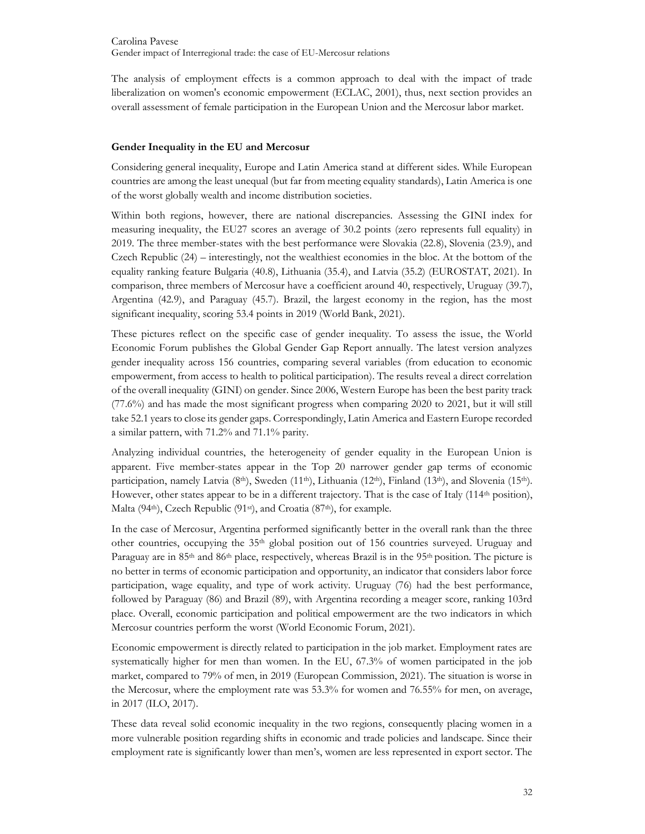The analysis of employment effects is a common approach to deal with the impact of trade liberalization on women's economic empowerment (ECLAC, 2001), thus, next section provides an overall assessment of female participation in the European Union and the Mercosur labor market.

# Gender Inequality in the EU and Mercosur

Considering general inequality, Europe and Latin America stand at different sides. While European countries are among the least unequal (but far from meeting equality standards), Latin America is one of the worst globally wealth and income distribution societies.

Within both regions, however, there are national discrepancies. Assessing the GINI index for measuring inequality, the EU27 scores an average of 30.2 points (zero represents full equality) in 2019. The three member-states with the best performance were Slovakia (22.8), Slovenia (23.9), and Czech Republic (24) – interestingly, not the wealthiest economies in the bloc. At the bottom of the equality ranking feature Bulgaria (40.8), Lithuania (35.4), and Latvia (35.2) (EUROSTAT, 2021). In comparison, three members of Mercosur have a coefficient around 40, respectively, Uruguay (39.7), Argentina (42.9), and Paraguay (45.7). Brazil, the largest economy in the region, has the most significant inequality, scoring 53.4 points in 2019 (World Bank, 2021).

These pictures reflect on the specific case of gender inequality. To assess the issue, the World Economic Forum publishes the Global Gender Gap Report annually. The latest version analyzes gender inequality across 156 countries, comparing several variables (from education to economic empowerment, from access to health to political participation). The results reveal a direct correlation of the overall inequality (GINI) on gender. Since 2006, Western Europe has been the best parity track (77.6%) and has made the most significant progress when comparing 2020 to 2021, but it will still take 52.1 years to close its gender gaps. Correspondingly, Latin America and Eastern Europe recorded a similar pattern, with 71.2% and 71.1% parity.

Analyzing individual countries, the heterogeneity of gender equality in the European Union is apparent. Five member-states appear in the Top 20 narrower gender gap terms of economic participation, namely Latvia (8<sup>th</sup>), Sweden (11<sup>th</sup>), Lithuania (12<sup>th</sup>), Finland (13<sup>th</sup>), and Slovenia (15<sup>th</sup>). However, other states appear to be in a different trajectory. That is the case of Italy  $(114<sup>th</sup>$  position), Malta (94<sup>th</sup>), Czech Republic (91<sup>st</sup>), and Croatia (87<sup>th</sup>), for example.

In the case of Mercosur, Argentina performed significantly better in the overall rank than the three other countries, occupying the 35th global position out of 156 countries surveyed. Uruguay and Paraguay are in 85<sup>th</sup> and 86<sup>th</sup> place, respectively, whereas Brazil is in the 95<sup>th</sup> position. The picture is no better in terms of economic participation and opportunity, an indicator that considers labor force participation, wage equality, and type of work activity. Uruguay (76) had the best performance, followed by Paraguay (86) and Brazil (89), with Argentina recording a meager score, ranking 103rd place. Overall, economic participation and political empowerment are the two indicators in which Mercosur countries perform the worst (World Economic Forum, 2021).

Economic empowerment is directly related to participation in the job market. Employment rates are systematically higher for men than women. In the EU, 67.3% of women participated in the job market, compared to 79% of men, in 2019 (European Commission, 2021). The situation is worse in the Mercosur, where the employment rate was 53.3% for women and 76.55% for men, on average, in 2017 (ILO, 2017).

These data reveal solid economic inequality in the two regions, consequently placing women in a more vulnerable position regarding shifts in economic and trade policies and landscape. Since their employment rate is significantly lower than men's, women are less represented in export sector. The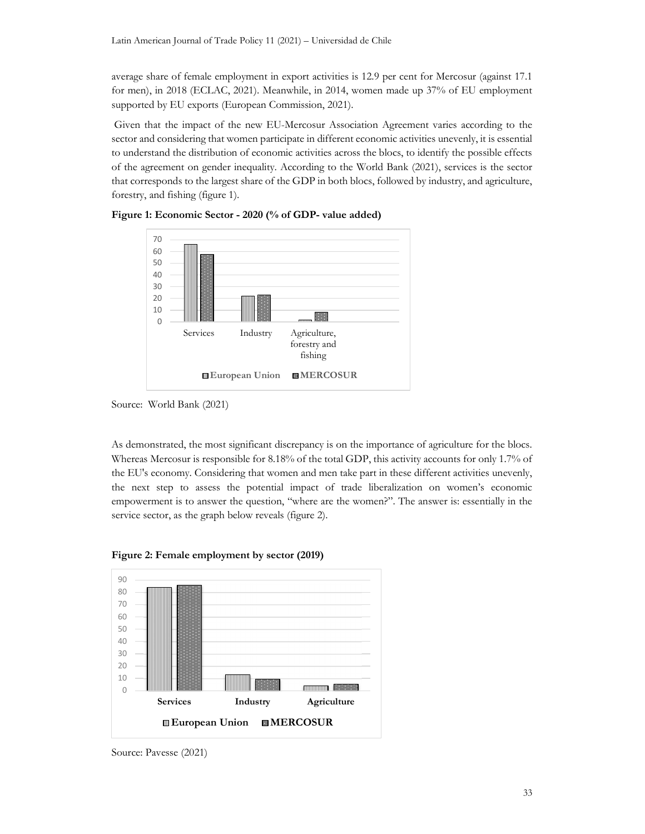average share of female employment in export activities is 12.9 per cent for Mercosur (against 17.1 for men), in 2018 (ECLAC, 2021). Meanwhile, in 2014, women made up 37% of EU employment supported by EU exports (European Commission, 2021).

 Given that the impact of the new EU-Mercosur Association Agreement varies according to the sector and considering that women participate in different economic activities unevenly, it is essential to understand the distribution of economic activities across the blocs, to identify the possible effects of the agreement on gender inequality. According to the World Bank (2021), services is the sector that corresponds to the largest share of the GDP in both blocs, followed by industry, and agriculture, forestry, and fishing (figure 1).



Figure 1: Economic Sector - 2020 (% of GDP- value added)

As demonstrated, the most significant discrepancy is on the importance of agriculture for the blocs. Whereas Mercosur is responsible for 8.18% of the total GDP, this activity accounts for only 1.7% of the EU's economy. Considering that women and men take part in these different activities unevenly, the next step to assess the potential impact of trade liberalization on women's economic empowerment is to answer the question, "where are the women?". The answer is: essentially in the service sector, as the graph below reveals (figure 2).



Figure 2: Female employment by sector (2019)

Source: World Bank (2021)

Source: Pavesse (2021)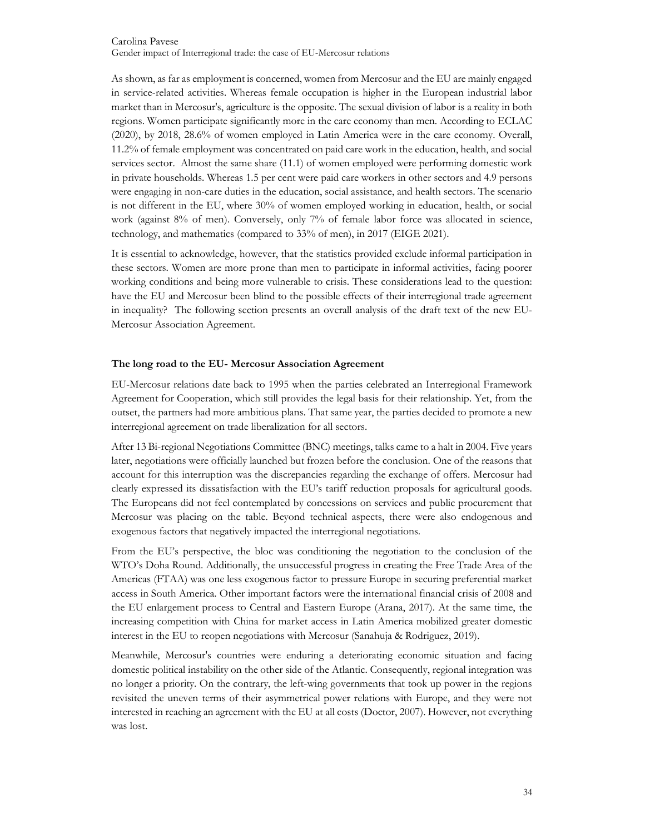As shown, as far as employment is concerned, women from Mercosur and the EU are mainly engaged in service-related activities. Whereas female occupation is higher in the European industrial labor market than in Mercosur's, agriculture is the opposite. The sexual division of labor is a reality in both regions. Women participate significantly more in the care economy than men. According to ECLAC (2020), by 2018, 28.6% of women employed in Latin America were in the care economy. Overall, 11.2% of female employment was concentrated on paid care work in the education, health, and social services sector. Almost the same share (11.1) of women employed were performing domestic work in private households. Whereas 1.5 per cent were paid care workers in other sectors and 4.9 persons were engaging in non-care duties in the education, social assistance, and health sectors. The scenario is not different in the EU, where 30% of women employed working in education, health, or social work (against 8% of men). Conversely, only 7% of female labor force was allocated in science, technology, and mathematics (compared to 33% of men), in 2017 (EIGE 2021).

It is essential to acknowledge, however, that the statistics provided exclude informal participation in these sectors. Women are more prone than men to participate in informal activities, facing poorer working conditions and being more vulnerable to crisis. These considerations lead to the question: have the EU and Mercosur been blind to the possible effects of their interregional trade agreement in inequality? The following section presents an overall analysis of the draft text of the new EU-Mercosur Association Agreement.

# The long road to the EU- Mercosur Association Agreement

EU-Mercosur relations date back to 1995 when the parties celebrated an Interregional Framework Agreement for Cooperation, which still provides the legal basis for their relationship. Yet, from the outset, the partners had more ambitious plans. That same year, the parties decided to promote a new interregional agreement on trade liberalization for all sectors.

After 13 Bi-regional Negotiations Committee (BNC) meetings, talks came to a halt in 2004. Five years later, negotiations were officially launched but frozen before the conclusion. One of the reasons that account for this interruption was the discrepancies regarding the exchange of offers. Mercosur had clearly expressed its dissatisfaction with the EU's tariff reduction proposals for agricultural goods. The Europeans did not feel contemplated by concessions on services and public procurement that Mercosur was placing on the table. Beyond technical aspects, there were also endogenous and exogenous factors that negatively impacted the interregional negotiations.

From the EU's perspective, the bloc was conditioning the negotiation to the conclusion of the WTO's Doha Round. Additionally, the unsuccessful progress in creating the Free Trade Area of the Americas (FTAA) was one less exogenous factor to pressure Europe in securing preferential market access in South America. Other important factors were the international financial crisis of 2008 and the EU enlargement process to Central and Eastern Europe (Arana, 2017). At the same time, the increasing competition with China for market access in Latin America mobilized greater domestic interest in the EU to reopen negotiations with Mercosur (Sanahuja & Rodriguez, 2019).

Meanwhile, Mercosur's countries were enduring a deteriorating economic situation and facing domestic political instability on the other side of the Atlantic. Consequently, regional integration was no longer a priority. On the contrary, the left-wing governments that took up power in the regions revisited the uneven terms of their asymmetrical power relations with Europe, and they were not interested in reaching an agreement with the EU at all costs (Doctor, 2007). However, not everything was lost.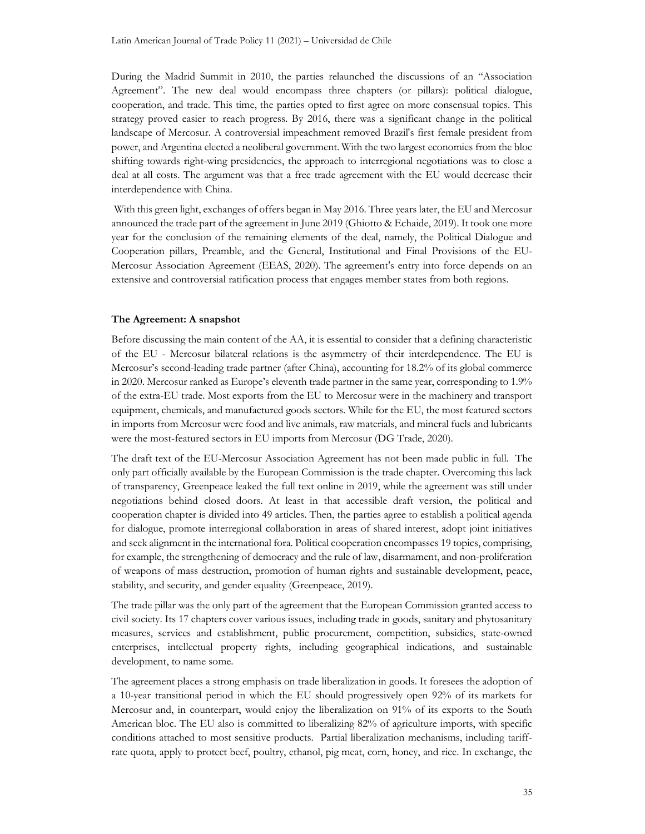During the Madrid Summit in 2010, the parties relaunched the discussions of an "Association Agreement". The new deal would encompass three chapters (or pillars): political dialogue, cooperation, and trade. This time, the parties opted to first agree on more consensual topics. This strategy proved easier to reach progress. By 2016, there was a significant change in the political landscape of Mercosur. A controversial impeachment removed Brazil's first female president from power, and Argentina elected a neoliberal government. With the two largest economies from the bloc shifting towards right-wing presidencies, the approach to interregional negotiations was to close a deal at all costs. The argument was that a free trade agreement with the EU would decrease their interdependence with China.

 With this green light, exchanges of offers began in May 2016. Three years later, the EU and Mercosur announced the trade part of the agreement in June 2019 (Ghiotto & Echaide, 2019). It took one more year for the conclusion of the remaining elements of the deal, namely, the Political Dialogue and Cooperation pillars, Preamble, and the General, Institutional and Final Provisions of the EU-Mercosur Association Agreement (EEAS, 2020). The agreement's entry into force depends on an extensive and controversial ratification process that engages member states from both regions.

#### The Agreement: A snapshot

Before discussing the main content of the AA, it is essential to consider that a defining characteristic of the EU - Mercosur bilateral relations is the asymmetry of their interdependence. The EU is Mercosur's second-leading trade partner (after China), accounting for 18.2% of its global commerce in 2020. Mercosur ranked as Europe's eleventh trade partner in the same year, corresponding to 1.9% of the extra-EU trade. Most exports from the EU to Mercosur were in the machinery and transport equipment, chemicals, and manufactured goods sectors. While for the EU, the most featured sectors in imports from Mercosur were food and live animals, raw materials, and mineral fuels and lubricants were the most-featured sectors in EU imports from Mercosur (DG Trade, 2020).

The draft text of the EU-Mercosur Association Agreement has not been made public in full. The only part officially available by the European Commission is the trade chapter. Overcoming this lack of transparency, Greenpeace leaked the full text online in 2019, while the agreement was still under negotiations behind closed doors. At least in that accessible draft version, the political and cooperation chapter is divided into 49 articles. Then, the parties agree to establish a political agenda for dialogue, promote interregional collaboration in areas of shared interest, adopt joint initiatives and seek alignment in the international fora. Political cooperation encompasses 19 topics, comprising, for example, the strengthening of democracy and the rule of law, disarmament, and non-proliferation of weapons of mass destruction, promotion of human rights and sustainable development, peace, stability, and security, and gender equality (Greenpeace, 2019).

The trade pillar was the only part of the agreement that the European Commission granted access to civil society. Its 17 chapters cover various issues, including trade in goods, sanitary and phytosanitary measures, services and establishment, public procurement, competition, subsidies, state-owned enterprises, intellectual property rights, including geographical indications, and sustainable development, to name some.

The agreement places a strong emphasis on trade liberalization in goods. It foresees the adoption of a 10-year transitional period in which the EU should progressively open 92% of its markets for Mercosur and, in counterpart, would enjoy the liberalization on 91% of its exports to the South American bloc. The EU also is committed to liberalizing 82% of agriculture imports, with specific conditions attached to most sensitive products. Partial liberalization mechanisms, including tariffrate quota, apply to protect beef, poultry, ethanol, pig meat, corn, honey, and rice. In exchange, the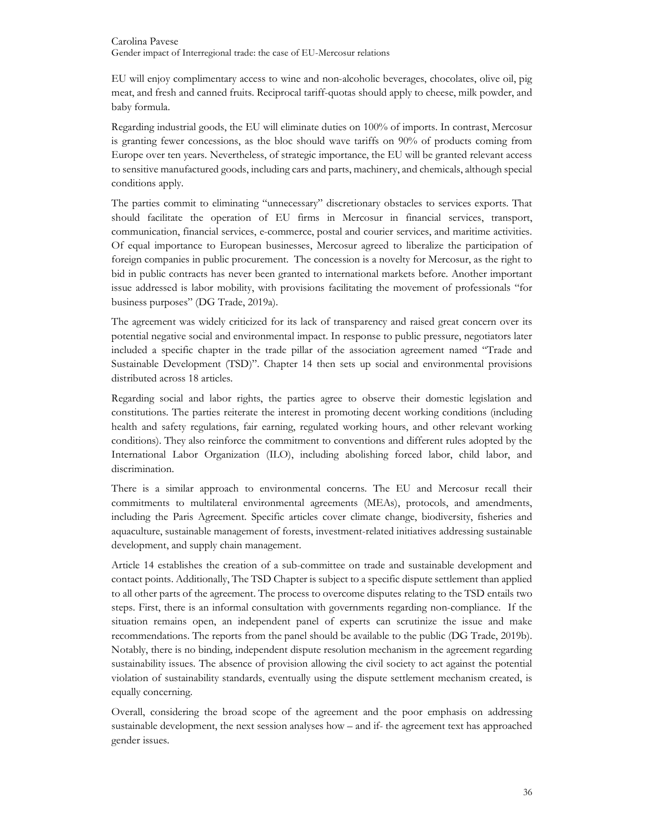EU will enjoy complimentary access to wine and non-alcoholic beverages, chocolates, olive oil, pig meat, and fresh and canned fruits. Reciprocal tariff-quotas should apply to cheese, milk powder, and baby formula.

Regarding industrial goods, the EU will eliminate duties on 100% of imports. In contrast, Mercosur is granting fewer concessions, as the bloc should wave tariffs on 90% of products coming from Europe over ten years. Nevertheless, of strategic importance, the EU will be granted relevant access to sensitive manufactured goods, including cars and parts, machinery, and chemicals, although special conditions apply.

The parties commit to eliminating "unnecessary" discretionary obstacles to services exports. That should facilitate the operation of EU firms in Mercosur in financial services, transport, communication, financial services, e-commerce, postal and courier services, and maritime activities. Of equal importance to European businesses, Mercosur agreed to liberalize the participation of foreign companies in public procurement. The concession is a novelty for Mercosur, as the right to bid in public contracts has never been granted to international markets before. Another important issue addressed is labor mobility, with provisions facilitating the movement of professionals "for business purposes" (DG Trade, 2019a).

The agreement was widely criticized for its lack of transparency and raised great concern over its potential negative social and environmental impact. In response to public pressure, negotiators later included a specific chapter in the trade pillar of the association agreement named "Trade and Sustainable Development (TSD)". Chapter 14 then sets up social and environmental provisions distributed across 18 articles.

Regarding social and labor rights, the parties agree to observe their domestic legislation and constitutions. The parties reiterate the interest in promoting decent working conditions (including health and safety regulations, fair earning, regulated working hours, and other relevant working conditions). They also reinforce the commitment to conventions and different rules adopted by the International Labor Organization (ILO), including abolishing forced labor, child labor, and discrimination.

There is a similar approach to environmental concerns. The EU and Mercosur recall their commitments to multilateral environmental agreements (MEAs), protocols, and amendments, including the Paris Agreement. Specific articles cover climate change, biodiversity, fisheries and aquaculture, sustainable management of forests, investment-related initiatives addressing sustainable development, and supply chain management.

Article 14 establishes the creation of a sub-committee on trade and sustainable development and contact points. Additionally, The TSD Chapter is subject to a specific dispute settlement than applied to all other parts of the agreement. The process to overcome disputes relating to the TSD entails two steps. First, there is an informal consultation with governments regarding non-compliance. If the situation remains open, an independent panel of experts can scrutinize the issue and make recommendations. The reports from the panel should be available to the public (DG Trade, 2019b). Notably, there is no binding, independent dispute resolution mechanism in the agreement regarding sustainability issues. The absence of provision allowing the civil society to act against the potential violation of sustainability standards, eventually using the dispute settlement mechanism created, is equally concerning.

Overall, considering the broad scope of the agreement and the poor emphasis on addressing sustainable development, the next session analyses how – and if- the agreement text has approached gender issues.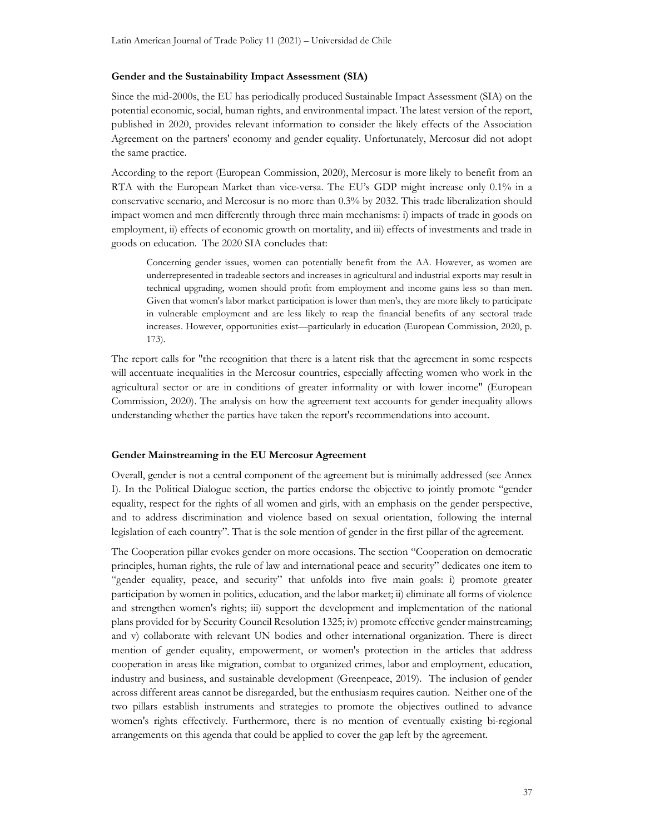#### Gender and the Sustainability Impact Assessment (SIA)

Since the mid-2000s, the EU has periodically produced Sustainable Impact Assessment (SIA) on the potential economic, social, human rights, and environmental impact. The latest version of the report, published in 2020, provides relevant information to consider the likely effects of the Association Agreement on the partners' economy and gender equality. Unfortunately, Mercosur did not adopt the same practice.

According to the report (European Commission, 2020), Mercosur is more likely to benefit from an RTA with the European Market than vice-versa. The EU's GDP might increase only 0.1% in a conservative scenario, and Mercosur is no more than 0.3% by 2032. This trade liberalization should impact women and men differently through three main mechanisms: i) impacts of trade in goods on employment, ii) effects of economic growth on mortality, and iii) effects of investments and trade in goods on education. The 2020 SIA concludes that:

Concerning gender issues, women can potentially benefit from the AA. However, as women are underrepresented in tradeable sectors and increases in agricultural and industrial exports may result in technical upgrading, women should profit from employment and income gains less so than men. Given that women's labor market participation is lower than men's, they are more likely to participate in vulnerable employment and are less likely to reap the financial benefits of any sectoral trade increases. However, opportunities exist—particularly in education (European Commission, 2020, p. 173).

The report calls for "the recognition that there is a latent risk that the agreement in some respects will accentuate inequalities in the Mercosur countries, especially affecting women who work in the agricultural sector or are in conditions of greater informality or with lower income" (European Commission, 2020). The analysis on how the agreement text accounts for gender inequality allows understanding whether the parties have taken the report's recommendations into account.

#### Gender Mainstreaming in the EU Mercosur Agreement

Overall, gender is not a central component of the agreement but is minimally addressed (see Annex I). In the Political Dialogue section, the parties endorse the objective to jointly promote "gender equality, respect for the rights of all women and girls, with an emphasis on the gender perspective, and to address discrimination and violence based on sexual orientation, following the internal legislation of each country". That is the sole mention of gender in the first pillar of the agreement.

The Cooperation pillar evokes gender on more occasions. The section "Cooperation on democratic principles, human rights, the rule of law and international peace and security" dedicates one item to "gender equality, peace, and security" that unfolds into five main goals: i) promote greater participation by women in politics, education, and the labor market; ii) eliminate all forms of violence and strengthen women's rights; iii) support the development and implementation of the national plans provided for by Security Council Resolution 1325; iv) promote effective gender mainstreaming; and v) collaborate with relevant UN bodies and other international organization. There is direct mention of gender equality, empowerment, or women's protection in the articles that address cooperation in areas like migration, combat to organized crimes, labor and employment, education, industry and business, and sustainable development (Greenpeace, 2019). The inclusion of gender across different areas cannot be disregarded, but the enthusiasm requires caution. Neither one of the two pillars establish instruments and strategies to promote the objectives outlined to advance women's rights effectively. Furthermore, there is no mention of eventually existing bi-regional arrangements on this agenda that could be applied to cover the gap left by the agreement.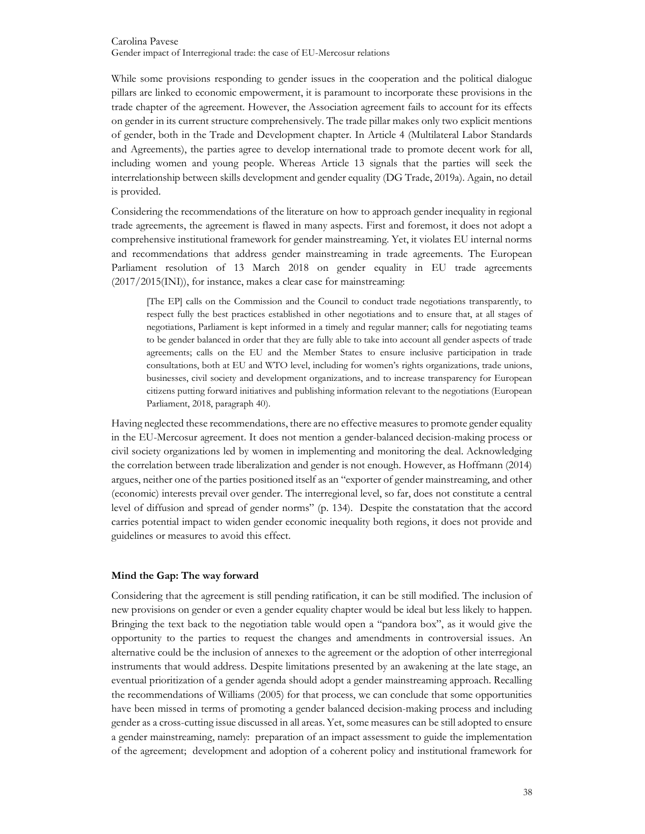While some provisions responding to gender issues in the cooperation and the political dialogue pillars are linked to economic empowerment, it is paramount to incorporate these provisions in the trade chapter of the agreement. However, the Association agreement fails to account for its effects on gender in its current structure comprehensively. The trade pillar makes only two explicit mentions of gender, both in the Trade and Development chapter. In Article 4 (Multilateral Labor Standards and Agreements), the parties agree to develop international trade to promote decent work for all, including women and young people. Whereas Article 13 signals that the parties will seek the interrelationship between skills development and gender equality (DG Trade, 2019a). Again, no detail is provided.

Considering the recommendations of the literature on how to approach gender inequality in regional trade agreements, the agreement is flawed in many aspects. First and foremost, it does not adopt a comprehensive institutional framework for gender mainstreaming. Yet, it violates EU internal norms and recommendations that address gender mainstreaming in trade agreements. The European Parliament resolution of 13 March 2018 on gender equality in EU trade agreements (2017/2015(INI)), for instance, makes a clear case for mainstreaming:

[The EP] calls on the Commission and the Council to conduct trade negotiations transparently, to respect fully the best practices established in other negotiations and to ensure that, at all stages of negotiations, Parliament is kept informed in a timely and regular manner; calls for negotiating teams to be gender balanced in order that they are fully able to take into account all gender aspects of trade agreements; calls on the EU and the Member States to ensure inclusive participation in trade consultations, both at EU and WTO level, including for women's rights organizations, trade unions, businesses, civil society and development organizations, and to increase transparency for European citizens putting forward initiatives and publishing information relevant to the negotiations (European Parliament, 2018, paragraph 40).

Having neglected these recommendations, there are no effective measures to promote gender equality in the EU-Mercosur agreement. It does not mention a gender-balanced decision-making process or civil society organizations led by women in implementing and monitoring the deal. Acknowledging the correlation between trade liberalization and gender is not enough. However, as Hoffmann (2014) argues, neither one of the parties positioned itself as an "exporter of gender mainstreaming, and other (economic) interests prevail over gender. The interregional level, so far, does not constitute a central level of diffusion and spread of gender norms" (p. 134). Despite the constatation that the accord carries potential impact to widen gender economic inequality both regions, it does not provide and guidelines or measures to avoid this effect.

#### Mind the Gap: The way forward

Considering that the agreement is still pending ratification, it can be still modified. The inclusion of new provisions on gender or even a gender equality chapter would be ideal but less likely to happen. Bringing the text back to the negotiation table would open a "pandora box", as it would give the opportunity to the parties to request the changes and amendments in controversial issues. An alternative could be the inclusion of annexes to the agreement or the adoption of other interregional instruments that would address. Despite limitations presented by an awakening at the late stage, an eventual prioritization of a gender agenda should adopt a gender mainstreaming approach. Recalling the recommendations of Williams (2005) for that process, we can conclude that some opportunities have been missed in terms of promoting a gender balanced decision-making process and including gender as a cross-cutting issue discussed in all areas. Yet, some measures can be still adopted to ensure a gender mainstreaming, namely: preparation of an impact assessment to guide the implementation of the agreement; development and adoption of a coherent policy and institutional framework for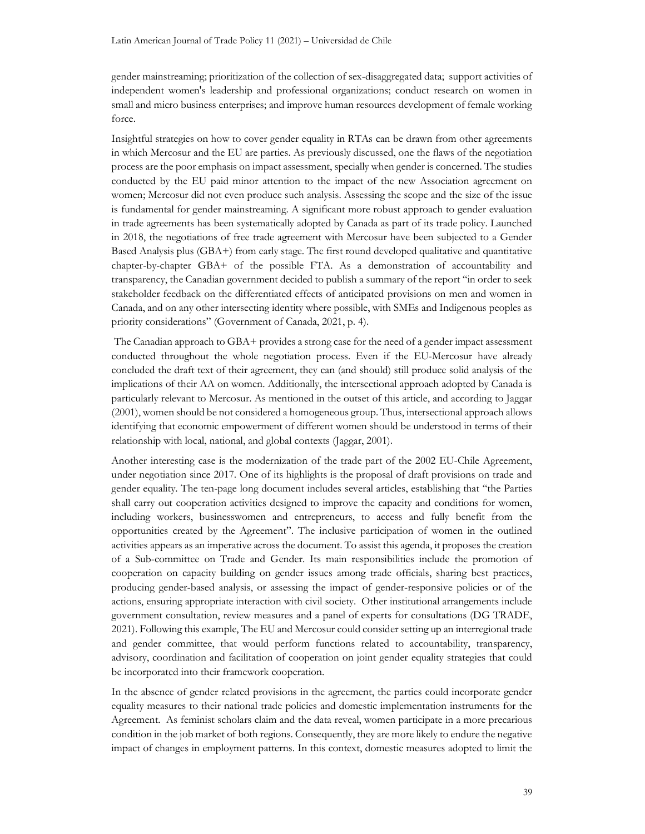gender mainstreaming; prioritization of the collection of sex-disaggregated data; support activities of independent women's leadership and professional organizations; conduct research on women in small and micro business enterprises; and improve human resources development of female working force.

Insightful strategies on how to cover gender equality in RTAs can be drawn from other agreements in which Mercosur and the EU are parties. As previously discussed, one the flaws of the negotiation process are the poor emphasis on impact assessment, specially when gender is concerned. The studies conducted by the EU paid minor attention to the impact of the new Association agreement on women; Mercosur did not even produce such analysis. Assessing the scope and the size of the issue is fundamental for gender mainstreaming. A significant more robust approach to gender evaluation in trade agreements has been systematically adopted by Canada as part of its trade policy. Launched in 2018, the negotiations of free trade agreement with Mercosur have been subjected to a Gender Based Analysis plus (GBA+) from early stage. The first round developed qualitative and quantitative chapter-by-chapter GBA+ of the possible FTA. As a demonstration of accountability and transparency, the Canadian government decided to publish a summary of the report "in order to seek stakeholder feedback on the differentiated effects of anticipated provisions on men and women in Canada, and on any other intersecting identity where possible, with SMEs and Indigenous peoples as priority considerations" (Government of Canada, 2021, p. 4).

 The Canadian approach to GBA+ provides a strong case for the need of a gender impact assessment conducted throughout the whole negotiation process. Even if the EU-Mercosur have already concluded the draft text of their agreement, they can (and should) still produce solid analysis of the implications of their AA on women. Additionally, the intersectional approach adopted by Canada is particularly relevant to Mercosur. As mentioned in the outset of this article, and according to Jaggar (2001), women should be not considered a homogeneous group. Thus, intersectional approach allows identifying that economic empowerment of different women should be understood in terms of their relationship with local, national, and global contexts (Jaggar, 2001).

Another interesting case is the modernization of the trade part of the 2002 EU-Chile Agreement, under negotiation since 2017. One of its highlights is the proposal of draft provisions on trade and gender equality. The ten-page long document includes several articles, establishing that "the Parties shall carry out cooperation activities designed to improve the capacity and conditions for women, including workers, businesswomen and entrepreneurs, to access and fully benefit from the opportunities created by the Agreement". The inclusive participation of women in the outlined activities appears as an imperative across the document. To assist this agenda, it proposes the creation of a Sub-committee on Trade and Gender. Its main responsibilities include the promotion of cooperation on capacity building on gender issues among trade officials, sharing best practices, producing gender-based analysis, or assessing the impact of gender-responsive policies or of the actions, ensuring appropriate interaction with civil society. Other institutional arrangements include government consultation, review measures and a panel of experts for consultations (DG TRADE, 2021). Following this example, The EU and Mercosur could consider setting up an interregional trade and gender committee, that would perform functions related to accountability, transparency, advisory, coordination and facilitation of cooperation on joint gender equality strategies that could be incorporated into their framework cooperation.

In the absence of gender related provisions in the agreement, the parties could incorporate gender equality measures to their national trade policies and domestic implementation instruments for the Agreement. As feminist scholars claim and the data reveal, women participate in a more precarious condition in the job market of both regions. Consequently, they are more likely to endure the negative impact of changes in employment patterns. In this context, domestic measures adopted to limit the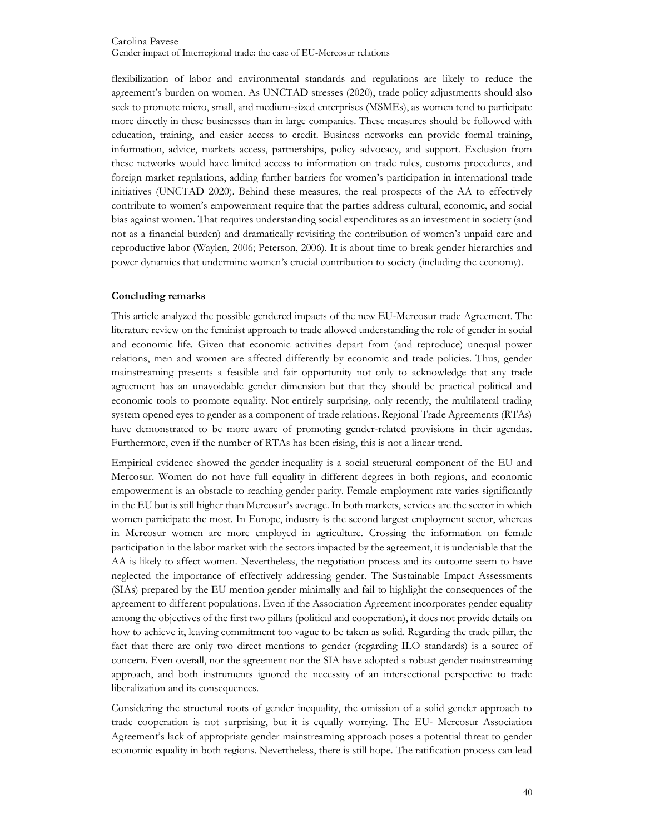flexibilization of labor and environmental standards and regulations are likely to reduce the agreement's burden on women. As UNCTAD stresses (2020), trade policy adjustments should also seek to promote micro, small, and medium-sized enterprises (MSMEs), as women tend to participate more directly in these businesses than in large companies. These measures should be followed with education, training, and easier access to credit. Business networks can provide formal training, information, advice, markets access, partnerships, policy advocacy, and support. Exclusion from these networks would have limited access to information on trade rules, customs procedures, and foreign market regulations, adding further barriers for women's participation in international trade initiatives (UNCTAD 2020). Behind these measures, the real prospects of the AA to effectively contribute to women's empowerment require that the parties address cultural, economic, and social bias against women. That requires understanding social expenditures as an investment in society (and not as a financial burden) and dramatically revisiting the contribution of women's unpaid care and reproductive labor (Waylen, 2006; Peterson, 2006). It is about time to break gender hierarchies and power dynamics that undermine women's crucial contribution to society (including the economy).

# Concluding remarks

This article analyzed the possible gendered impacts of the new EU-Mercosur trade Agreement. The literature review on the feminist approach to trade allowed understanding the role of gender in social and economic life. Given that economic activities depart from (and reproduce) unequal power relations, men and women are affected differently by economic and trade policies. Thus, gender mainstreaming presents a feasible and fair opportunity not only to acknowledge that any trade agreement has an unavoidable gender dimension but that they should be practical political and economic tools to promote equality. Not entirely surprising, only recently, the multilateral trading system opened eyes to gender as a component of trade relations. Regional Trade Agreements (RTAs) have demonstrated to be more aware of promoting gender-related provisions in their agendas. Furthermore, even if the number of RTAs has been rising, this is not a linear trend.

Empirical evidence showed the gender inequality is a social structural component of the EU and Mercosur. Women do not have full equality in different degrees in both regions, and economic empowerment is an obstacle to reaching gender parity. Female employment rate varies significantly in the EU but is still higher than Mercosur's average. In both markets, services are the sector in which women participate the most. In Europe, industry is the second largest employment sector, whereas in Mercosur women are more employed in agriculture. Crossing the information on female participation in the labor market with the sectors impacted by the agreement, it is undeniable that the AA is likely to affect women. Nevertheless, the negotiation process and its outcome seem to have neglected the importance of effectively addressing gender. The Sustainable Impact Assessments (SIAs) prepared by the EU mention gender minimally and fail to highlight the consequences of the agreement to different populations. Even if the Association Agreement incorporates gender equality among the objectives of the first two pillars (political and cooperation), it does not provide details on how to achieve it, leaving commitment too vague to be taken as solid. Regarding the trade pillar, the fact that there are only two direct mentions to gender (regarding ILO standards) is a source of concern. Even overall, nor the agreement nor the SIA have adopted a robust gender mainstreaming approach, and both instruments ignored the necessity of an intersectional perspective to trade liberalization and its consequences.

Considering the structural roots of gender inequality, the omission of a solid gender approach to trade cooperation is not surprising, but it is equally worrying. The EU- Mercosur Association Agreement's lack of appropriate gender mainstreaming approach poses a potential threat to gender economic equality in both regions. Nevertheless, there is still hope. The ratification process can lead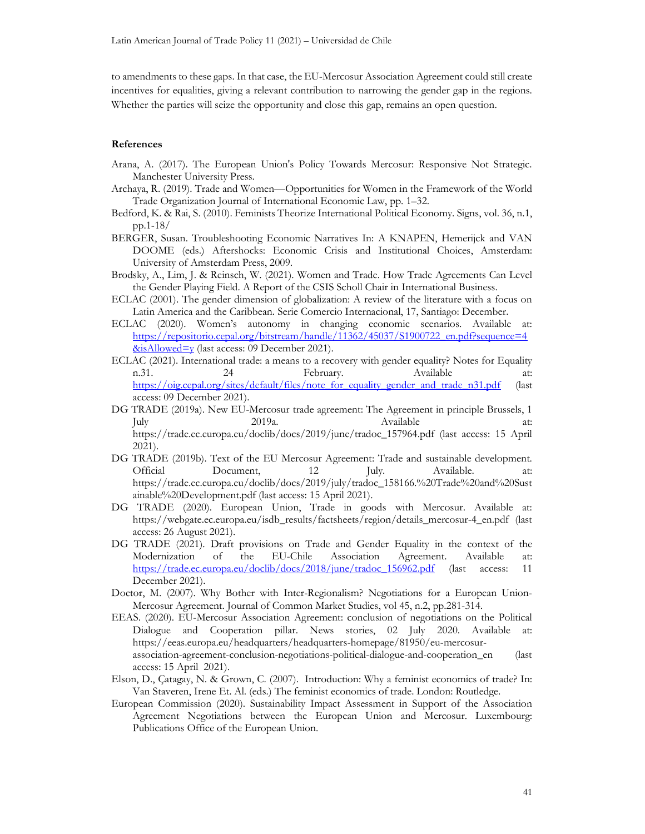to amendments to these gaps. In that case, the EU-Mercosur Association Agreement could still create incentives for equalities, giving a relevant contribution to narrowing the gender gap in the regions. Whether the parties will seize the opportunity and close this gap, remains an open question.

#### References

- Arana, A. (2017). The European Union's Policy Towards Mercosur: Responsive Not Strategic. Manchester University Press.
- Archaya, R. (2019). Trade and Women—Opportunities for Women in the Framework of the World Trade Organization Journal of International Economic Law, pp. 1–32.
- Bedford, K. & Rai, S. (2010). Feminists Theorize International Political Economy. Signs, vol. 36, n.1, pp.1-18/
- BERGER, Susan. Troubleshooting Economic Narratives In: A KNAPEN, Hemerijck and VAN DOOME (eds.) Aftershocks: Economic Crisis and Institutional Choices, Amsterdam: University of Amsterdam Press, 2009.
- Brodsky, A., Lim, J. & Reinsch, W. (2021). Women and Trade. How Trade Agreements Can Level the Gender Playing Field. A Report of the CSIS Scholl Chair in International Business.
- ECLAC (2001). The gender dimension of globalization: A review of the literature with a focus on Latin America and the Caribbean. Serie Comercio Internacional, 17, Santiago: December.
- ECLAC (2020). Women's autonomy in changing economic scenarios. Available at: https://repositorio.cepal.org/bitstream/handle/11362/45037/S1900722\_en.pdf?sequence=4  $&$ isAllowed=y (last access: 09 December 2021).
- ECLAC (2021). International trade: a means to a recovery with gender equality? Notes for Equality n.31. 24 February. Available at: https://oig.cepal.org/sites/default/files/note\_for\_equality\_gender\_and\_trade\_n31.pdf (last access: 09 December 2021).
- DG TRADE (2019a). New EU-Mercosur trade agreement: The Agreement in principle Brussels, 1 July 2019a. Available at: https://trade.ec.europa.eu/doclib/docs/2019/june/tradoc\_157964.pdf (last access: 15 April 2021).
- DG TRADE (2019b). Text of the EU Mercosur Agreement: Trade and sustainable development. Official Document, 12 July. Available. at: https://trade.ec.europa.eu/doclib/docs/2019/july/tradoc\_158166.%20Trade%20and%20Sust ainable%20Development.pdf (last access: 15 April 2021).
- DG TRADE (2020). European Union, Trade in goods with Mercosur. Available at: https://webgate.ec.europa.eu/isdb\_results/factsheets/region/details\_mercosur-4\_en.pdf (last access: 26 August 2021).
- DG TRADE (2021). Draft provisions on Trade and Gender Equality in the context of the Modernization of the EU-Chile Association Agreement. Available at: https://trade.ec.europa.eu/doclib/docs/2018/june/tradoc\_156962.pdf (last access: 11 December 2021).
- Doctor, M. (2007). Why Bother with Inter-Regionalism? Negotiations for a European Union-Mercosur Agreement. Journal of Common Market Studies, vol 45, n.2, pp.281-314.
- EEAS. (2020). EU-Mercosur Association Agreement: conclusion of negotiations on the Political Dialogue and Cooperation pillar. News stories, 02 July 2020. Available at: https://eeas.europa.eu/headquarters/headquarters-homepage/81950/eu-mercosurassociation-agreement-conclusion-negotiations-political-dialogue-and-cooperation\_en (last access: 15 April 2021).
- Elson, D., Çatagay, N. & Grown, C. (2007). Introduction: Why a feminist economics of trade? In: Van Staveren, Irene Et. Al. (eds.) The feminist economics of trade. London: Routledge.
- European Commission (2020). Sustainability Impact Assessment in Support of the Association Agreement Negotiations between the European Union and Mercosur. Luxembourg: Publications Office of the European Union.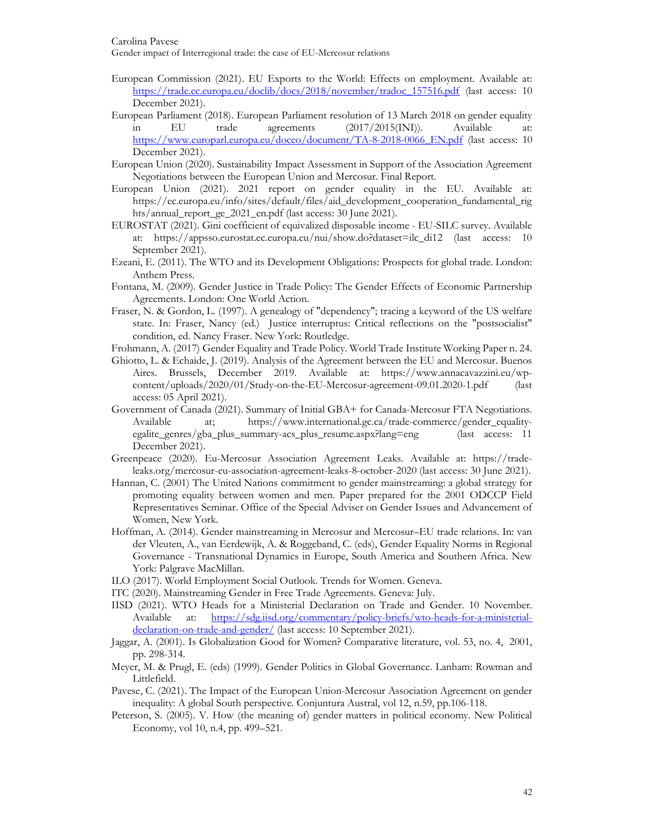Gender impact of Interregional trade: the case of EU-Mercosur relations

- European Commission (2021). EU Exports to the World: Effects on employment. Available at: https://trade.ec.europa.eu/doclib/docs/2018/november/tradoc\_157516.pdf (last access: 10 December 2021).
- European Parliament (2018). European Parliament resolution of 13 March 2018 on gender equality in EU trade agreements (2017/2015(INI)). Available at: https://www.europarl.europa.eu/doceo/document/TA-8-2018-0066\_EN.pdf (last access: 10 December 2021).
- European Union (2020). Sustainability Impact Assessment in Support of the Association Agreement Negotiations between the European Union and Mercosur. Final Report.
- European Union (2021). 2021 report on gender equality in the EU. Available at: https://ec.europa.eu/info/sites/default/files/aid\_development\_cooperation\_fundamental\_rig hts/annual\_report\_ge\_2021\_en.pdf (last access: 30 June 2021).
- EUROSTAT (2021). Gini coefficient of equivalized disposable income EU-SILC survey. Available at: https://appsso.eurostat.ec.europa.eu/nui/show.do?dataset=ilc\_di12 (last access: 10 September 2021).
- Ezeani, E. (2011). The WTO and its Development Obligations: Prospects for global trade. London: Anthem Press.
- Fontana, M. (2009). Gender Justice in Trade Policy: The Gender Effects of Economic Partnership Agreements. London: One World Action.
- Fraser, N. & Gordon, L. (1997). A genealogy of "dependency"; tracing a keyword of the US welfare state. In: Fraser, Nancy (ed.) Justice interruptus: Critical reflections on the "postsocialist" condition, ed. Nancy Fraser. New York: Routledge.
- Frohmann, A. (2017) Gender Equality and Trade Policy. World Trade Institute Working Paper n. 24.
- Ghiotto, L. & Echaide, J. (2019). Analysis of the Agreement between the EU and Mercosur. Buenos Aires. Brussels, December 2019. Available at: https://www.annacavazzini.eu/wpcontent/uploads/2020/01/Study-on-the-EU-Mercosur-agreement-09.01.2020-1.pdf (last access: 05 April 2021).
- Government of Canada (2021). Summary of Initial GBA+ for Canada-Mercosur FTA Negotiations. Available at; https://www.international.gc.ca/trade-commerce/gender\_equalityegalite\_genres/gba\_plus\_summary-acs\_plus\_resume.aspx?lang=eng (last access: 11 December 2021).
- Greenpeace (2020). Eu-Mercosur Association Agreement Leaks. Available at: https://tradeleaks.org/mercosur-eu-association-agreement-leaks-8-october-2020 (last access: 30 June 2021).
- Hannan, C. (2001) The United Nations commitment to gender mainstreaming: a global strategy for promoting equality between women and men. Paper prepared for the 2001 ODCCP Field Representatives Seminar. Office of the Special Adviser on Gender Issues and Advancement of Women, New York.
- Hoffman, A. (2014). Gender mainstreaming in Mercosur and Mercosur–EU trade relations. In: van der Vleuten, A., van Eerdewijk, A. & Roggeband, C. (eds), Gender Equality Norms in Regional Governance - Transnational Dynamics in Europe, South America and Southern Africa. New York: Palgrave MacMillan.
- ILO (2017). World Employment Social Outlook. Trends for Women. Geneva.
- ITC (2020). Mainstreaming Gender in Free Trade Agreements. Geneva: July.
- IISD (2021). WTO Heads for a Ministerial Declaration on Trade and Gender. 10 November. Available at: https://sdg.iisd.org/commentary/policy-briefs/wto-heads-for-a-ministerialdeclaration-on-trade-and-gender/ (last access: 10 September 2021).
- Jaggar, A. (2001). Is Globalization Good for Women? Comparative literature, vol. 53, no. 4, 2001, pp. 298-314.
- Meyer, M. & Prugl, E. (eds) (1999). Gender Politics in Global Governance. Lanham: Rowman and Littlefield.
- Pavese, C. (2021). The Impact of the European Union-Mercosur Association Agreement on gender inequality: A global South perspective. Conjuntura Austral, vol 12, n.59, pp.106-118.
- Peterson, S. (2005). V. How (the meaning of) gender matters in political economy. New Political Economy, vol 10, n.4, pp. 499–521.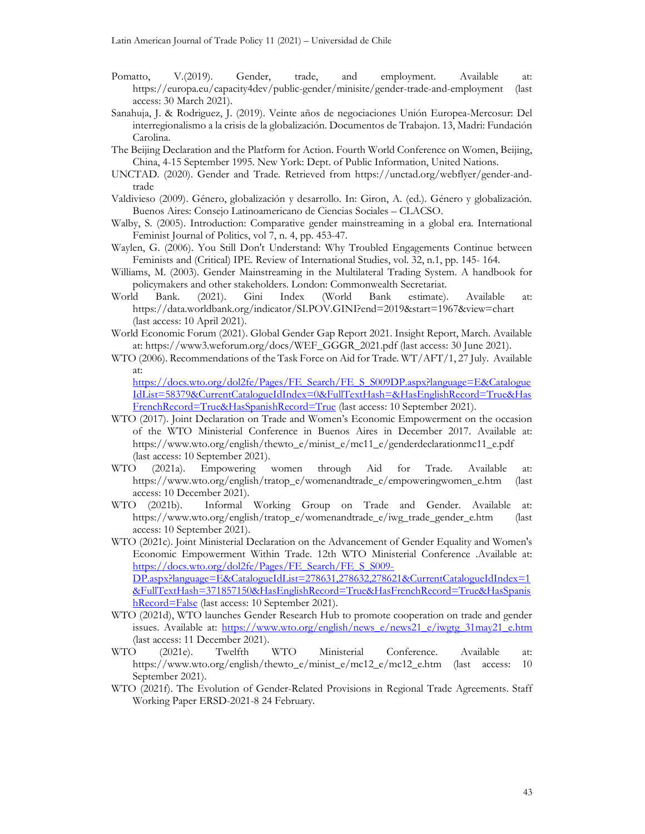- Pomatto, V.(2019). Gender, trade, and employment. Available at: https://europa.eu/capacity4dev/public-gender/minisite/gender-trade-and-employment (last access: 30 March 2021).
- Sanahuja, J. & Rodriguez, J. (2019). Veinte años de negociaciones Unión Europea-Mercosur: Del interregionalismo a la crisis de la globalización. Documentos de Trabajon. 13, Madri: Fundación Carolina.
- The Beijing Declaration and the Platform for Action. Fourth World Conference on Women, Beijing, China, 4-15 September 1995. New York: Dept. of Public Information, United Nations.
- UNCTAD. (2020). Gender and Trade. Retrieved from https://unctad.org/webflyer/gender-andtrade
- Valdivieso (2009). Género, globalización y desarrollo. In: Giron, A. (ed.). Género y globalización. Buenos Aires: Consejo Latinoamericano de Ciencias Sociales – CLACSO.
- Walby, S. (2005). Introduction: Comparative gender mainstreaming in a global era. International Feminist Journal of Politics, vol 7, n. 4, pp. 453-47.
- Waylen, G. (2006). You Still Don't Understand: Why Troubled Engagements Continue between Feminists and (Critical) IPE. Review of International Studies, vol. 32, n.1, pp. 145- 164.
- Williams, M. (2003). Gender Mainstreaming in the Multilateral Trading System. A handbook for policymakers and other stakeholders. London: Commonwealth Secretariat.
- World Bank. (2021). Gini Index (World Bank estimate). Available at: https://data.worldbank.org/indicator/SI.POV.GINI?end=2019&start=1967&view=chart (last access: 10 April 2021).
- World Economic Forum (2021). Global Gender Gap Report 2021. Insight Report, March. Available at: https://www3.weforum.org/docs/WEF\_GGGR\_2021.pdf (last access: 30 June 2021).
- WTO (2006). Recommendations of the Task Force on Aid for Trade. WT/AFT/1, 27 July. Available at: https://docs.wto.org/dol2fe/Pages/FE\_Search/FE\_S\_S009DP.aspx?language=E&Catalogue

IdList=58379&CurrentCatalogueIdIndex=0&FullTextHash=&HasEnglishRecord=True&Has FrenchRecord=True&HasSpanishRecord=True (last access: 10 September 2021).

- WTO (2017). Joint Declaration on Trade and Women's Economic Empowerment on the occasion of the WTO Ministerial Conference in Buenos Aires in December 2017. Available at: https://www.wto.org/english/thewto\_e/minist\_e/mc11\_e/genderdeclarationmc11\_e.pdf (last access: 10 September 2021).
- WTO (2021a). Empowering women through Aid for Trade. Available at: https://www.wto.org/english/tratop\_e/womenandtrade\_e/empoweringwomen\_e.htm (last access: 10 December 2021).
- WTO (2021b). Informal Working Group on Trade and Gender. Available at: https://www.wto.org/english/tratop\_e/womenandtrade\_e/iwg\_trade\_gender\_e.htm (last access: 10 September 2021).
- WTO (2021c). Joint Ministerial Declaration on the Advancement of Gender Equality and Women's Economic Empowerment Within Trade. 12th WTO Ministerial Conference .Available at: https://docs.wto.org/dol2fe/Pages/FE\_Search/FE\_S\_S009-DP.aspx?language=E&CatalogueIdList=278631,278632,278621&CurrentCatalogueIdIndex=1 &FullTextHash=371857150&HasEnglishRecord=True&HasFrenchRecord=True&HasSpanis hRecord=False (last access: 10 September 2021).
- WTO (2021d), WTO launches Gender Research Hub to promote cooperation on trade and gender issues. Available at: https://www.wto.org/english/news\_e/news21\_e/iwgtg\_31may21\_e.htm (last access: 11 December 2021).
- WTO (2021e). Twelfth WTO Ministerial Conference. Available at: https://www.wto.org/english/thewto\_e/minist\_e/mc12\_e/mc12\_e.htm (last access: 10 September 2021).
- WTO (2021f). The Evolution of Gender-Related Provisions in Regional Trade Agreements. Staff Working Paper ERSD-2021-8 24 February.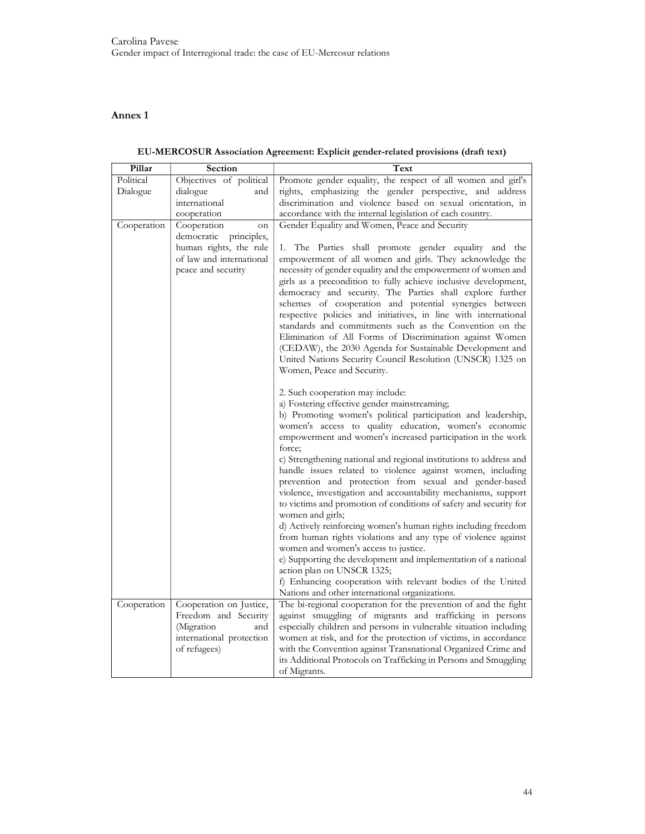# Annex 1

| Pillar      | Section                                                                                                          | Text                                                                                                                                                                                                                                                                                                                                                                                                                                              |
|-------------|------------------------------------------------------------------------------------------------------------------|---------------------------------------------------------------------------------------------------------------------------------------------------------------------------------------------------------------------------------------------------------------------------------------------------------------------------------------------------------------------------------------------------------------------------------------------------|
| Political   | Objectives of political                                                                                          | Promote gender equality, the respect of all women and girl's                                                                                                                                                                                                                                                                                                                                                                                      |
| Dialogue    | dialogue<br>and                                                                                                  | rights, emphasizing the gender perspective, and address                                                                                                                                                                                                                                                                                                                                                                                           |
|             | international                                                                                                    | discrimination and violence based on sexual orientation, in                                                                                                                                                                                                                                                                                                                                                                                       |
|             | cooperation                                                                                                      | accordance with the internal legislation of each country.                                                                                                                                                                                                                                                                                                                                                                                         |
| Cooperation | Cooperation<br>on                                                                                                | Gender Equality and Women, Peace and Security                                                                                                                                                                                                                                                                                                                                                                                                     |
|             | democratic principles,                                                                                           |                                                                                                                                                                                                                                                                                                                                                                                                                                                   |
|             | human rights, the rule                                                                                           | 1. The Parties shall promote gender equality and the                                                                                                                                                                                                                                                                                                                                                                                              |
|             | of law and international                                                                                         | empowerment of all women and girls. They acknowledge the                                                                                                                                                                                                                                                                                                                                                                                          |
|             | peace and security                                                                                               | necessity of gender equality and the empowerment of women and<br>girls as a precondition to fully achieve inclusive development,<br>democracy and security. The Parties shall explore further<br>schemes of cooperation and potential synergies between<br>respective policies and initiatives, in line with international<br>standards and commitments such as the Convention on the<br>Elimination of All Forms of Discrimination against Women |
|             |                                                                                                                  | (CEDAW), the 2030 Agenda for Sustainable Development and<br>United Nations Security Council Resolution (UNSCR) 1325 on<br>Women, Peace and Security.                                                                                                                                                                                                                                                                                              |
|             |                                                                                                                  | 2. Such cooperation may include:                                                                                                                                                                                                                                                                                                                                                                                                                  |
|             |                                                                                                                  | a) Fostering effective gender mainstreaming;                                                                                                                                                                                                                                                                                                                                                                                                      |
|             |                                                                                                                  | b) Promoting women's political participation and leadership,<br>women's access to quality education, women's economic<br>empowerment and women's increased participation in the work<br>force;                                                                                                                                                                                                                                                    |
|             |                                                                                                                  | c) Strengthening national and regional institutions to address and<br>handle issues related to violence against women, including<br>prevention and protection from sexual and gender-based<br>violence, investigation and accountability mechanisms, support<br>to victims and promotion of conditions of safety and security for<br>women and girls;                                                                                             |
|             |                                                                                                                  | d) Actively reinforcing women's human rights including freedom<br>from human rights violations and any type of violence against                                                                                                                                                                                                                                                                                                                   |
|             |                                                                                                                  | women and women's access to justice.<br>e) Supporting the development and implementation of a national<br>action plan on UNSCR 1325;                                                                                                                                                                                                                                                                                                              |
|             |                                                                                                                  | f) Enhancing cooperation with relevant bodies of the United<br>Nations and other international organizations.                                                                                                                                                                                                                                                                                                                                     |
| Cooperation | Cooperation on Justice,<br>Freedom and Security<br>(Migration<br>and<br>international protection<br>of refugees) | The bi-regional cooperation for the prevention of and the fight<br>against smuggling of migrants and trafficking in persons<br>especially children and persons in vulnerable situation including<br>women at risk, and for the protection of victims, in accordance<br>with the Convention against Transnational Organized Crime and<br>its Additional Protocols on Trafficking in Persons and Smuggling<br>of Migrants.                          |

EU-MERCOSUR Association Agreement: Explicit gender-related provisions (draft text)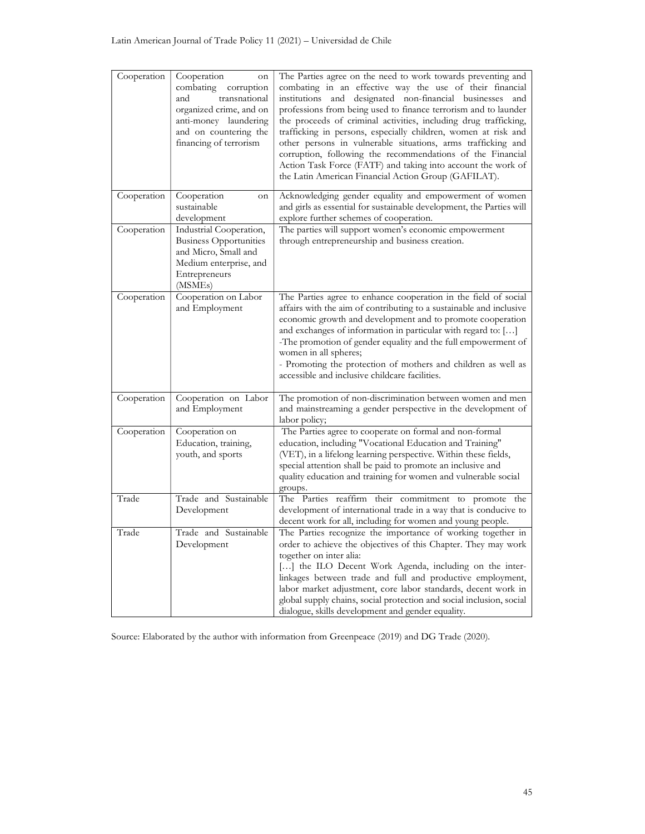| Cooperation | Cooperation<br>on<br>combating<br>corruption<br>transnational<br>and<br>organized crime, and on<br>anti-money laundering<br>and on countering the<br>financing of terrorism | The Parties agree on the need to work towards preventing and<br>combating in an effective way the use of their financial<br>institutions and designated non-financial businesses and<br>professions from being used to finance terrorism and to launder<br>the proceeds of criminal activities, including drug trafficking,<br>trafficking in persons, especially children, women at risk and<br>other persons in vulnerable situations, arms trafficking and<br>corruption, following the recommendations of the Financial<br>Action Task Force (FATF) and taking into account the work of<br>the Latin American Financial Action Group (GAFILAT). |
|-------------|-----------------------------------------------------------------------------------------------------------------------------------------------------------------------------|-----------------------------------------------------------------------------------------------------------------------------------------------------------------------------------------------------------------------------------------------------------------------------------------------------------------------------------------------------------------------------------------------------------------------------------------------------------------------------------------------------------------------------------------------------------------------------------------------------------------------------------------------------|
| Cooperation | Cooperation<br>on<br>sustainable<br>development                                                                                                                             | Acknowledging gender equality and empowerment of women<br>and girls as essential for sustainable development, the Parties will<br>explore further schemes of cooperation.                                                                                                                                                                                                                                                                                                                                                                                                                                                                           |
| Cooperation | Industrial Cooperation,<br><b>Business Opportunities</b><br>and Micro, Small and<br>Medium enterprise, and<br>Entrepreneurs<br>(MSME <sub>s</sub> )                         | The parties will support women's economic empowerment<br>through entrepreneurship and business creation.                                                                                                                                                                                                                                                                                                                                                                                                                                                                                                                                            |
| Cooperation | Cooperation on Labor<br>and Employment                                                                                                                                      | The Parties agree to enhance cooperation in the field of social<br>affairs with the aim of contributing to a sustainable and inclusive<br>economic growth and development and to promote cooperation<br>and exchanges of information in particular with regard to: []<br>-The promotion of gender equality and the full empowerment of<br>women in all spheres;<br>- Promoting the protection of mothers and children as well as<br>accessible and inclusive childcare facilities.                                                                                                                                                                  |
| Cooperation | Cooperation on Labor<br>and Employment                                                                                                                                      | The promotion of non-discrimination between women and men<br>and mainstreaming a gender perspective in the development of<br>labor policy;                                                                                                                                                                                                                                                                                                                                                                                                                                                                                                          |
| Cooperation | Cooperation on<br>Education, training,<br>youth, and sports                                                                                                                 | The Parties agree to cooperate on formal and non-formal<br>education, including "Vocational Education and Training"<br>(VET), in a lifelong learning perspective. Within these fields,<br>special attention shall be paid to promote an inclusive and<br>quality education and training for women and vulnerable social<br>groups.                                                                                                                                                                                                                                                                                                                  |
| Trade       | Trade and Sustainable<br>Development                                                                                                                                        | The Parties reaffirm their commitment to promote the<br>development of international trade in a way that is conducive to<br>decent work for all, including for women and young people.                                                                                                                                                                                                                                                                                                                                                                                                                                                              |
| Trade       | Trade and Sustainable<br>Development                                                                                                                                        | The Parties recognize the importance of working together in<br>order to achieve the objectives of this Chapter. They may work<br>together on inter alia:<br>[] the ILO Decent Work Agenda, including on the inter-<br>linkages between trade and full and productive employment,<br>labor market adjustment, core labor standards, decent work in<br>global supply chains, social protection and social inclusion, social<br>dialogue, skills development and gender equality.                                                                                                                                                                      |

Source: Elaborated by the author with information from Greenpeace (2019) and DG Trade (2020).